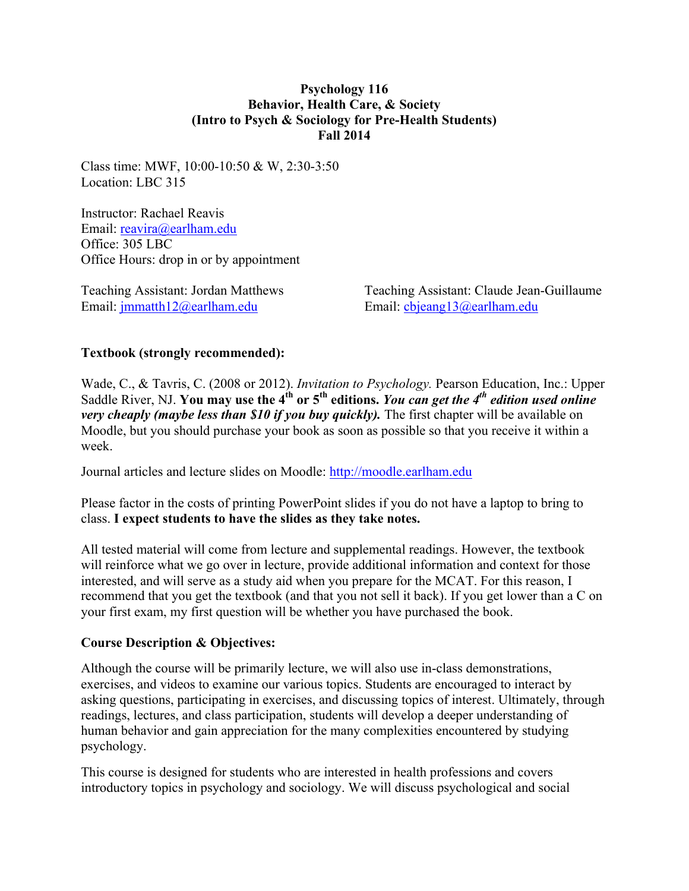### **Psychology 116 Behavior, Health Care, & Society (Intro to Psych & Sociology for Pre-Health Students) Fall 2014**

Class time: MWF, 10:00-10:50 & W, 2:30-3:50 Location: LBC 315

Instructor: Rachael Reavis Email: reavira@earlham.edu Office: 305 LBC Office Hours: drop in or by appointment

Email: jmmatth12@earlham.edu Email: cbjeang13@earlham.edu

Teaching Assistant: Jordan Matthews Teaching Assistant: Claude Jean-Guillaume

### **Textbook (strongly recommended):**

Wade, C., & Tavris, C. (2008 or 2012). *Invitation to Psychology.* Pearson Education, Inc.: Upper Saddle River, NJ. **You may use the 4<sup>th</sup> or 5<sup>th</sup> editions.** You can get the 4<sup>th</sup> edition used online *very cheaply (maybe less than \$10 if you buy quickly).* The first chapter will be available on Moodle, but you should purchase your book as soon as possible so that you receive it within a week.

Journal articles and lecture slides on Moodle: http://moodle.earlham.edu

Please factor in the costs of printing PowerPoint slides if you do not have a laptop to bring to class. **I expect students to have the slides as they take notes.** 

All tested material will come from lecture and supplemental readings. However, the textbook will reinforce what we go over in lecture, provide additional information and context for those interested, and will serve as a study aid when you prepare for the MCAT. For this reason, I recommend that you get the textbook (and that you not sell it back). If you get lower than a C on your first exam, my first question will be whether you have purchased the book.

### **Course Description & Objectives:**

Although the course will be primarily lecture, we will also use in-class demonstrations, exercises, and videos to examine our various topics. Students are encouraged to interact by asking questions, participating in exercises, and discussing topics of interest. Ultimately, through readings, lectures, and class participation, students will develop a deeper understanding of human behavior and gain appreciation for the many complexities encountered by studying psychology.

This course is designed for students who are interested in health professions and covers introductory topics in psychology and sociology. We will discuss psychological and social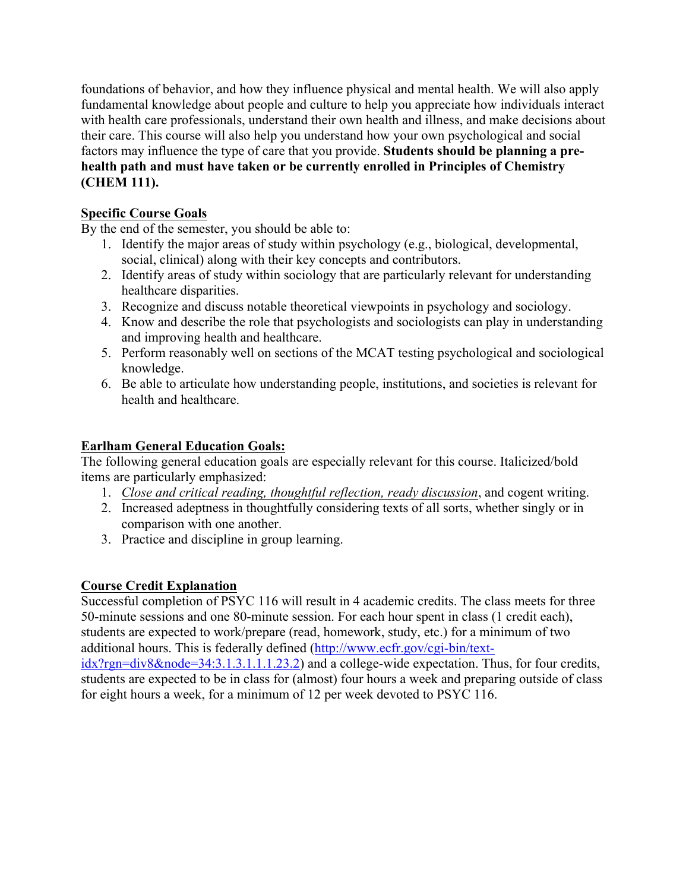foundations of behavior, and how they influence physical and mental health. We will also apply fundamental knowledge about people and culture to help you appreciate how individuals interact with health care professionals, understand their own health and illness, and make decisions about their care. This course will also help you understand how your own psychological and social factors may influence the type of care that you provide. **Students should be planning a prehealth path and must have taken or be currently enrolled in Principles of Chemistry (CHEM 111).**

## **Specific Course Goals**

By the end of the semester, you should be able to:

- 1. Identify the major areas of study within psychology (e.g., biological, developmental, social, clinical) along with their key concepts and contributors.
- 2. Identify areas of study within sociology that are particularly relevant for understanding healthcare disparities.
- 3. Recognize and discuss notable theoretical viewpoints in psychology and sociology.
- 4. Know and describe the role that psychologists and sociologists can play in understanding and improving health and healthcare.
- 5. Perform reasonably well on sections of the MCAT testing psychological and sociological knowledge.
- 6. Be able to articulate how understanding people, institutions, and societies is relevant for health and healthcare.

# **Earlham General Education Goals:**

The following general education goals are especially relevant for this course. Italicized/bold items are particularly emphasized:

- 1. *Close and critical reading, thoughtful reflection, ready discussion*, and cogent writing.
- 2. Increased adeptness in thoughtfully considering texts of all sorts, whether singly or in comparison with one another.
- 3. Practice and discipline in group learning.

## **Course Credit Explanation**

Successful completion of PSYC 116 will result in 4 academic credits. The class meets for three 50-minute sessions and one 80-minute session. For each hour spent in class (1 credit each), students are expected to work/prepare (read, homework, study, etc.) for a minimum of two additional hours. This is federally defined (http://www.ecfr.gov/cgi-bin/textidx?rgn=div8&node=34:3.1.3.1.1.1.23.2) and a college-wide expectation. Thus, for four credits, students are expected to be in class for (almost) four hours a week and preparing outside of class for eight hours a week, for a minimum of 12 per week devoted to PSYC 116.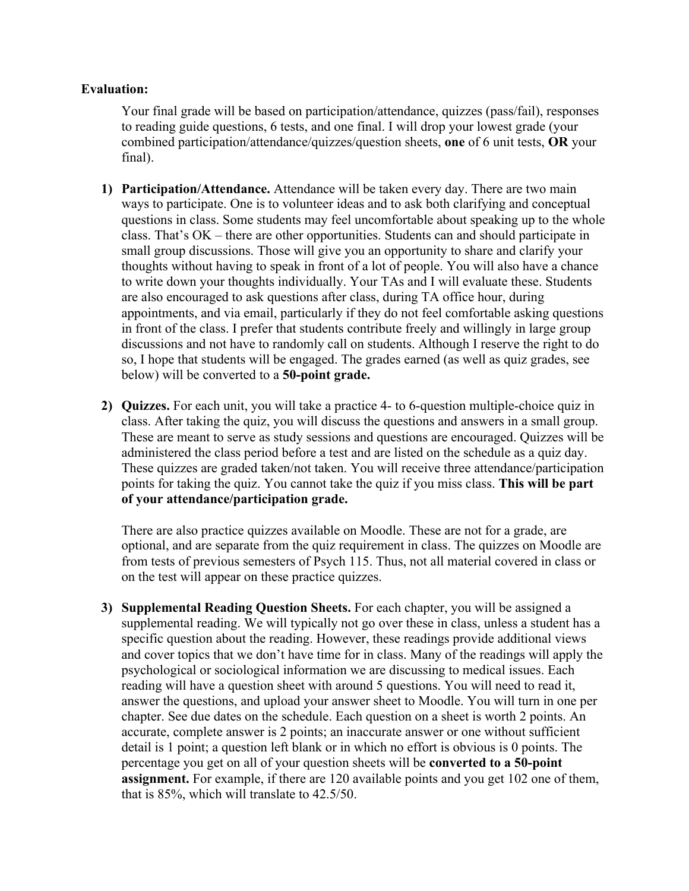#### **Evaluation:**

Your final grade will be based on participation/attendance, quizzes (pass/fail), responses to reading guide questions, 6 tests, and one final. I will drop your lowest grade (your combined participation/attendance/quizzes/question sheets, **one** of 6 unit tests, **OR** your final).

- **1) Participation/Attendance.** Attendance will be taken every day. There are two main ways to participate. One is to volunteer ideas and to ask both clarifying and conceptual questions in class. Some students may feel uncomfortable about speaking up to the whole class. That's OK – there are other opportunities. Students can and should participate in small group discussions. Those will give you an opportunity to share and clarify your thoughts without having to speak in front of a lot of people. You will also have a chance to write down your thoughts individually. Your TAs and I will evaluate these. Students are also encouraged to ask questions after class, during TA office hour, during appointments, and via email, particularly if they do not feel comfortable asking questions in front of the class. I prefer that students contribute freely and willingly in large group discussions and not have to randomly call on students. Although I reserve the right to do so, I hope that students will be engaged. The grades earned (as well as quiz grades, see below) will be converted to a **50-point grade.**
- **2) Quizzes.** For each unit, you will take a practice 4- to 6-question multiple-choice quiz in class. After taking the quiz, you will discuss the questions and answers in a small group. These are meant to serve as study sessions and questions are encouraged. Quizzes will be administered the class period before a test and are listed on the schedule as a quiz day. These quizzes are graded taken/not taken. You will receive three attendance/participation points for taking the quiz. You cannot take the quiz if you miss class. **This will be part of your attendance/participation grade.**

There are also practice quizzes available on Moodle. These are not for a grade, are optional, and are separate from the quiz requirement in class. The quizzes on Moodle are from tests of previous semesters of Psych 115. Thus, not all material covered in class or on the test will appear on these practice quizzes.

**3) Supplemental Reading Question Sheets.** For each chapter, you will be assigned a supplemental reading. We will typically not go over these in class, unless a student has a specific question about the reading. However, these readings provide additional views and cover topics that we don't have time for in class. Many of the readings will apply the psychological or sociological information we are discussing to medical issues. Each reading will have a question sheet with around 5 questions. You will need to read it, answer the questions, and upload your answer sheet to Moodle. You will turn in one per chapter. See due dates on the schedule. Each question on a sheet is worth 2 points. An accurate, complete answer is 2 points; an inaccurate answer or one without sufficient detail is 1 point; a question left blank or in which no effort is obvious is 0 points. The percentage you get on all of your question sheets will be **converted to a 50-point assignment.** For example, if there are 120 available points and you get 102 one of them, that is 85%, which will translate to 42.5/50.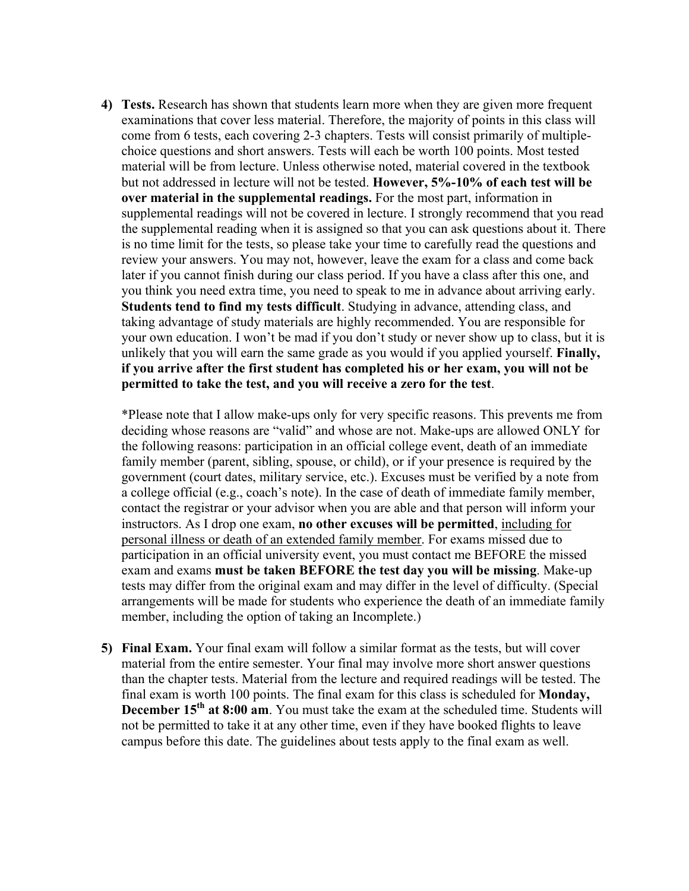**4) Tests.** Research has shown that students learn more when they are given more frequent examinations that cover less material. Therefore, the majority of points in this class will come from 6 tests, each covering 2-3 chapters. Tests will consist primarily of multiplechoice questions and short answers. Tests will each be worth 100 points. Most tested material will be from lecture. Unless otherwise noted, material covered in the textbook but not addressed in lecture will not be tested. **However, 5%-10% of each test will be over material in the supplemental readings.** For the most part, information in supplemental readings will not be covered in lecture. I strongly recommend that you read the supplemental reading when it is assigned so that you can ask questions about it. There is no time limit for the tests, so please take your time to carefully read the questions and review your answers. You may not, however, leave the exam for a class and come back later if you cannot finish during our class period. If you have a class after this one, and you think you need extra time, you need to speak to me in advance about arriving early. **Students tend to find my tests difficult**. Studying in advance, attending class, and taking advantage of study materials are highly recommended. You are responsible for your own education. I won't be mad if you don't study or never show up to class, but it is unlikely that you will earn the same grade as you would if you applied yourself. **Finally, if you arrive after the first student has completed his or her exam, you will not be permitted to take the test, and you will receive a zero for the test**.

\*Please note that I allow make-ups only for very specific reasons. This prevents me from deciding whose reasons are "valid" and whose are not. Make-ups are allowed ONLY for the following reasons: participation in an official college event, death of an immediate family member (parent, sibling, spouse, or child), or if your presence is required by the government (court dates, military service, etc.). Excuses must be verified by a note from a college official (e.g., coach's note). In the case of death of immediate family member, contact the registrar or your advisor when you are able and that person will inform your instructors. As I drop one exam, **no other excuses will be permitted**, including for personal illness or death of an extended family member. For exams missed due to participation in an official university event, you must contact me BEFORE the missed exam and exams **must be taken BEFORE the test day you will be missing**. Make-up tests may differ from the original exam and may differ in the level of difficulty. (Special arrangements will be made for students who experience the death of an immediate family member, including the option of taking an Incomplete.)

**5) Final Exam.** Your final exam will follow a similar format as the tests, but will cover material from the entire semester. Your final may involve more short answer questions than the chapter tests. Material from the lecture and required readings will be tested. The final exam is worth 100 points. The final exam for this class is scheduled for **Monday, December 15th at 8:00 am**. You must take the exam at the scheduled time. Students will not be permitted to take it at any other time, even if they have booked flights to leave campus before this date. The guidelines about tests apply to the final exam as well.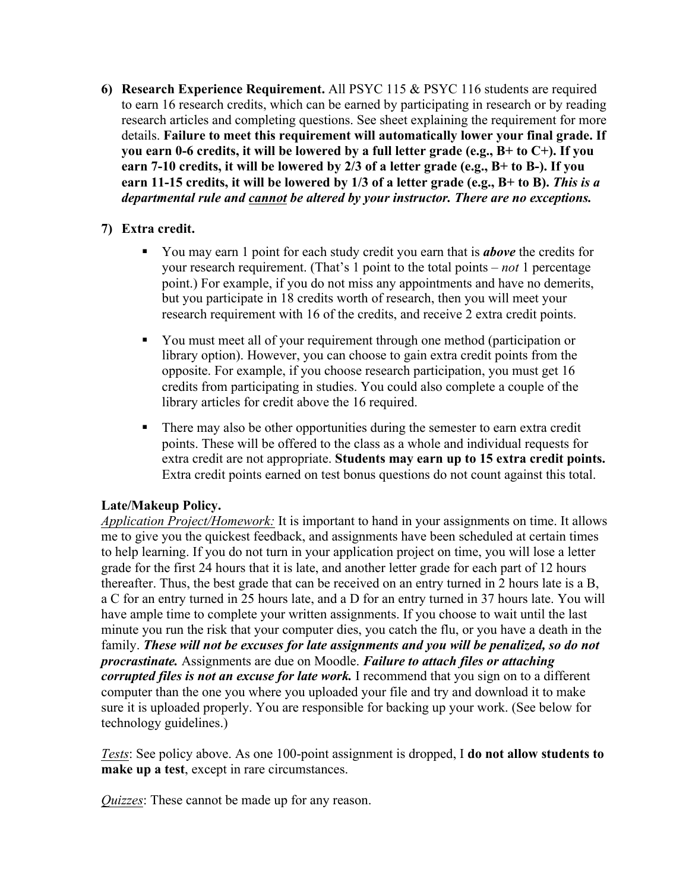**6) Research Experience Requirement.** All PSYC 115 & PSYC 116 students are required to earn 16 research credits, which can be earned by participating in research or by reading research articles and completing questions. See sheet explaining the requirement for more details. **Failure to meet this requirement will automatically lower your final grade. If you earn 0-6 credits, it will be lowered by a full letter grade (e.g., B+ to C+). If you earn 7-10 credits, it will be lowered by 2/3 of a letter grade (e.g., B+ to B-). If you earn 11-15 credits, it will be lowered by 1/3 of a letter grade (e.g., B+ to B).** *This is a departmental rule and cannot be altered by your instructor. There are no exceptions.*

## **7) Extra credit.**

- § You may earn 1 point for each study credit you earn that is *above* the credits for your research requirement. (That's 1 point to the total points – *not* 1 percentage point.) For example, if you do not miss any appointments and have no demerits, but you participate in 18 credits worth of research, then you will meet your research requirement with 16 of the credits, and receive 2 extra credit points.
- § You must meet all of your requirement through one method (participation or library option). However, you can choose to gain extra credit points from the opposite. For example, if you choose research participation, you must get 16 credits from participating in studies. You could also complete a couple of the library articles for credit above the 16 required.
- There may also be other opportunities during the semester to earn extra credit points. These will be offered to the class as a whole and individual requests for extra credit are not appropriate. **Students may earn up to 15 extra credit points.** Extra credit points earned on test bonus questions do not count against this total.

### **Late/Makeup Policy.**

*Application Project/Homework:* It is important to hand in your assignments on time. It allows me to give you the quickest feedback, and assignments have been scheduled at certain times to help learning. If you do not turn in your application project on time, you will lose a letter grade for the first 24 hours that it is late, and another letter grade for each part of 12 hours thereafter. Thus, the best grade that can be received on an entry turned in 2 hours late is a B, a C for an entry turned in 25 hours late, and a D for an entry turned in 37 hours late. You will have ample time to complete your written assignments. If you choose to wait until the last minute you run the risk that your computer dies, you catch the flu, or you have a death in the family. *These will not be excuses for late assignments and you will be penalized, so do not procrastinate.* Assignments are due on Moodle. *Failure to attach files or attaching corrupted files is not an excuse for late work.* I recommend that you sign on to a different computer than the one you where you uploaded your file and try and download it to make sure it is uploaded properly. You are responsible for backing up your work. (See below for technology guidelines.)

*Tests*: See policy above. As one 100-point assignment is dropped, I **do not allow students to make up a test**, except in rare circumstances.

*Quizzes*: These cannot be made up for any reason.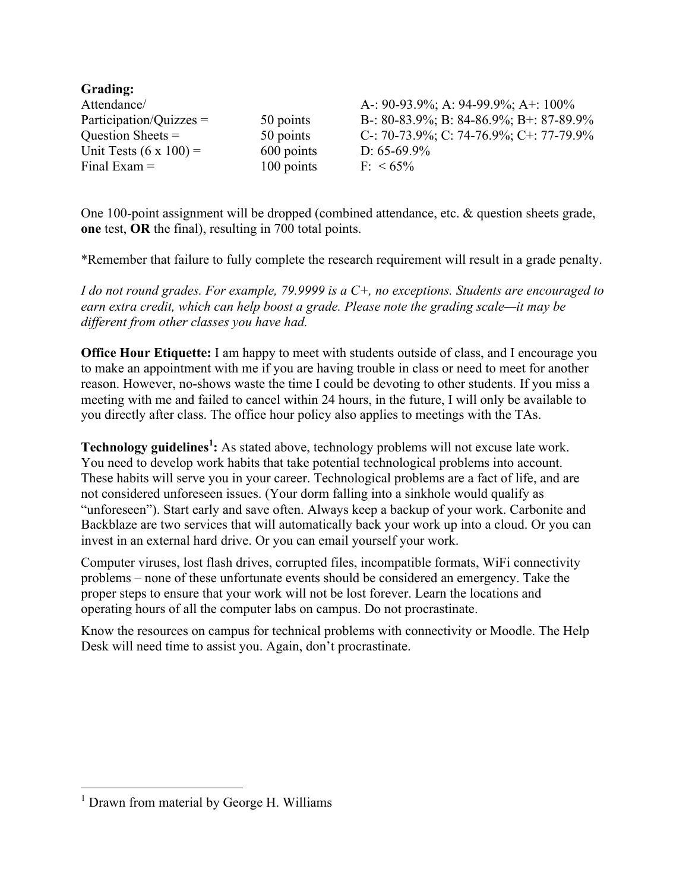| Grading:                      |            |                                         |
|-------------------------------|------------|-----------------------------------------|
| Attendance/                   |            | A-: 90-93.9%; A: 94-99.9%; A+: 100%     |
| $Participation/Quizzes =$     | 50 points  | B-: 80-83.9%; B: 84-86.9%; B+: 87-89.9% |
| Question Sheets $=$           | 50 points  | C-: 70-73.9%; C: 74-76.9%; C+: 77-79.9% |
| Unit Tests $(6 \times 100)$ = | 600 points | D: $65-69.9\%$                          |
| Final Exam $=$                | 100 points | $F: < 65\%$                             |

One 100-point assignment will be dropped (combined attendance, etc. & question sheets grade, **one** test, **OR** the final), resulting in 700 total points.

\*Remember that failure to fully complete the research requirement will result in a grade penalty.

*I do not round grades. For example, 79.9999 is a C+, no exceptions. Students are encouraged to earn extra credit, which can help boost a grade. Please note the grading scale—it may be different from other classes you have had.* 

**Office Hour Etiquette:** I am happy to meet with students outside of class, and I encourage you to make an appointment with me if you are having trouble in class or need to meet for another reason. However, no-shows waste the time I could be devoting to other students. If you miss a meeting with me and failed to cancel within 24 hours, in the future, I will only be available to you directly after class. The office hour policy also applies to meetings with the TAs.

**Technology guidelines<sup>1</sup> :** As stated above, technology problems will not excuse late work. You need to develop work habits that take potential technological problems into account. These habits will serve you in your career. Technological problems are a fact of life, and are not considered unforeseen issues. (Your dorm falling into a sinkhole would qualify as "unforeseen"). Start early and save often. Always keep a backup of your work. Carbonite and Backblaze are two services that will automatically back your work up into a cloud. Or you can invest in an external hard drive. Or you can email yourself your work.

Computer viruses, lost flash drives, corrupted files, incompatible formats, WiFi connectivity problems – none of these unfortunate events should be considered an emergency. Take the proper steps to ensure that your work will not be lost forever. Learn the locations and operating hours of all the computer labs on campus. Do not procrastinate.

Know the resources on campus for technical problems with connectivity or Moodle. The Help Desk will need time to assist you. Again, don't procrastinate.

<sup>&</sup>lt;sup>1</sup> Drawn from material by George H. Williams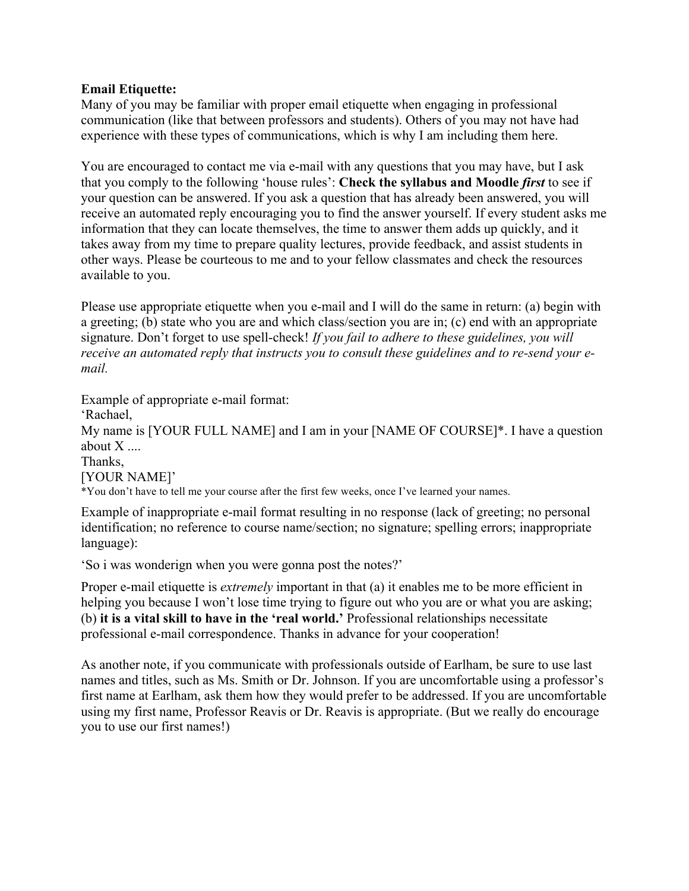#### **Email Etiquette:**

Many of you may be familiar with proper email etiquette when engaging in professional communication (like that between professors and students). Others of you may not have had experience with these types of communications, which is why I am including them here.

You are encouraged to contact me via e-mail with any questions that you may have, but I ask that you comply to the following 'house rules': **Check the syllabus and Moodle** *first* to see if your question can be answered. If you ask a question that has already been answered, you will receive an automated reply encouraging you to find the answer yourself. If every student asks me information that they can locate themselves, the time to answer them adds up quickly, and it takes away from my time to prepare quality lectures, provide feedback, and assist students in other ways. Please be courteous to me and to your fellow classmates and check the resources available to you.

Please use appropriate etiquette when you e-mail and I will do the same in return: (a) begin with a greeting; (b) state who you are and which class/section you are in; (c) end with an appropriate signature. Don't forget to use spell-check! *If you fail to adhere to these guidelines, you will receive an automated reply that instructs you to consult these guidelines and to re-send your email.*

Example of appropriate e-mail format: 'Rachael, My name is [YOUR FULL NAME] and I am in your [NAME OF COURSE]\*. I have a question about  $X$  .... Thanks, [YOUR NAME]' \*You don't have to tell me your course after the first few weeks, once I've learned your names.

Example of inappropriate e-mail format resulting in no response (lack of greeting; no personal identification; no reference to course name/section; no signature; spelling errors; inappropriate language):

'So i was wonderign when you were gonna post the notes?'

Proper e-mail etiquette is *extremely* important in that (a) it enables me to be more efficient in helping you because I won't lose time trying to figure out who you are or what you are asking; (b) **it is a vital skill to have in the 'real world.'** Professional relationships necessitate professional e-mail correspondence. Thanks in advance for your cooperation!

As another note, if you communicate with professionals outside of Earlham, be sure to use last names and titles, such as Ms. Smith or Dr. Johnson. If you are uncomfortable using a professor's first name at Earlham, ask them how they would prefer to be addressed. If you are uncomfortable using my first name, Professor Reavis or Dr. Reavis is appropriate. (But we really do encourage you to use our first names!)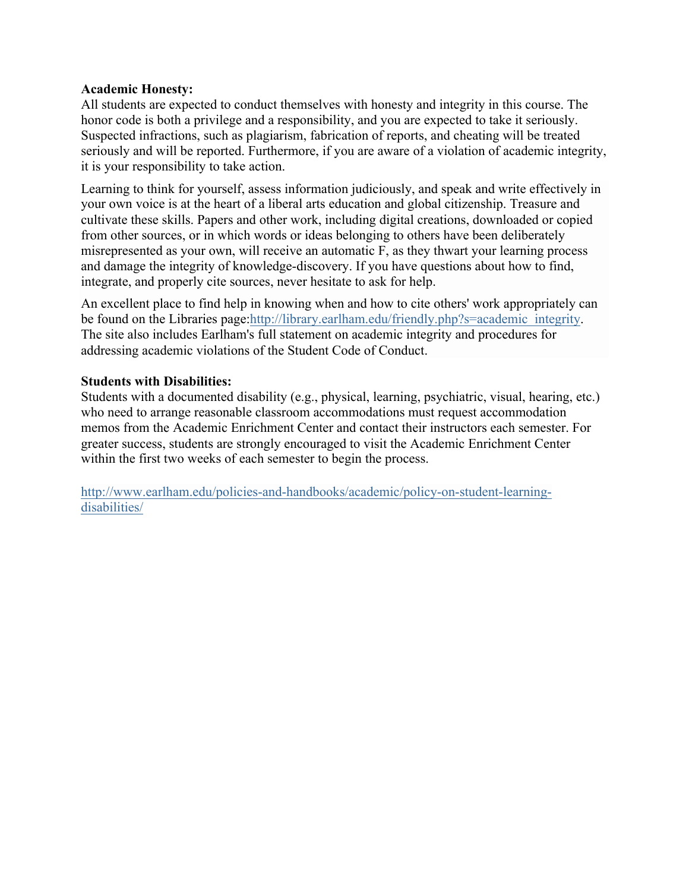#### **Academic Honesty:**

All students are expected to conduct themselves with honesty and integrity in this course. The honor code is both a privilege and a responsibility, and you are expected to take it seriously. Suspected infractions, such as plagiarism, fabrication of reports, and cheating will be treated seriously and will be reported. Furthermore, if you are aware of a violation of academic integrity, it is your responsibility to take action.

Learning to think for yourself, assess information judiciously, and speak and write effectively in your own voice is at the heart of a liberal arts education and global citizenship. Treasure and cultivate these skills. Papers and other work, including digital creations, downloaded or copied from other sources, or in which words or ideas belonging to others have been deliberately misrepresented as your own, will receive an automatic F, as they thwart your learning process and damage the integrity of knowledge-discovery. If you have questions about how to find, integrate, and properly cite sources, never hesitate to ask for help.

An excellent place to find help in knowing when and how to cite others' work appropriately can be found on the Libraries page:http://library.earlham.edu/friendly.php?s=academic\_integrity. The site also includes Earlham's full statement on academic integrity and procedures for addressing academic violations of the Student Code of Conduct.

### **Students with Disabilities:**

Students with a documented disability (e.g., physical, learning, psychiatric, visual, hearing, etc.) who need to arrange reasonable classroom accommodations must request accommodation memos from the Academic Enrichment Center and contact their instructors each semester. For greater success, students are strongly encouraged to visit the Academic Enrichment Center within the first two weeks of each semester to begin the process.

http://www.earlham.edu/policies-and-handbooks/academic/policy-on-student-learningdisabilities/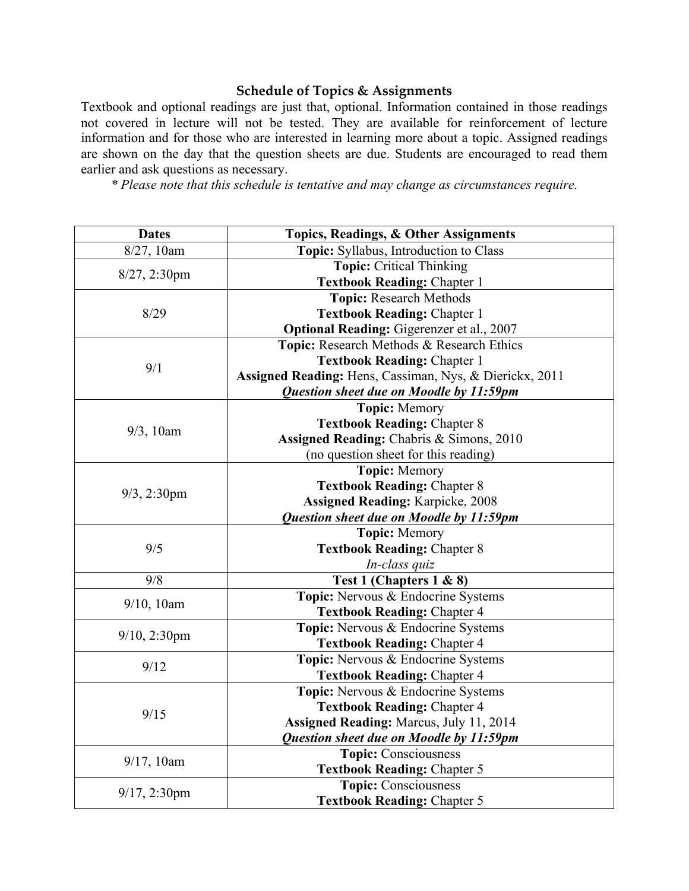## **Schedule of Topics & Assignments**

Textbook and optional readings are just that, optional. Information contained in those readings not covered in lecture will not be tested. They are available for reinforcement of lecture information and for those who are interested in learning more about a topic. Assigned readings are shown on the day that the question sheets are due. Students are encouraged to read them earlier and ask questions as necessary.

*\* Please note that this schedule is tentative and may change as circumstances require.*

| <b>Dates</b>    | Topics, Readings, & Other Assignments                   |
|-----------------|---------------------------------------------------------|
| 8/27, 10am      | Topic: Syllabus, Introduction to Class                  |
| $8/27, 2:30$ pm | <b>Topic: Critical Thinking</b>                         |
|                 | <b>Textbook Reading: Chapter 1</b>                      |
|                 | <b>Topic: Research Methods</b>                          |
| 8/29            | <b>Textbook Reading: Chapter 1</b>                      |
|                 | <b>Optional Reading: Gigerenzer et al., 2007</b>        |
|                 | Topic: Research Methods & Research Ethics               |
| 9/1             | <b>Textbook Reading: Chapter 1</b>                      |
|                 | Assigned Reading: Hens, Cassiman, Nys, & Dierickx, 2011 |
|                 | Question sheet due on Moodle by 11:59pm                 |
|                 | <b>Topic: Memory</b>                                    |
| $9/3$ , 10am    | <b>Textbook Reading: Chapter 8</b>                      |
|                 | Assigned Reading: Chabris & Simons, 2010                |
|                 | (no question sheet for this reading)                    |
|                 | <b>Topic:</b> Memory                                    |
|                 | <b>Textbook Reading: Chapter 8</b>                      |
| $9/3$ , 2:30pm  | <b>Assigned Reading: Karpicke, 2008</b>                 |
|                 | Question sheet due on Moodle by 11:59pm                 |
|                 | <b>Topic: Memory</b>                                    |
| 9/5             | <b>Textbook Reading: Chapter 8</b>                      |
|                 | In-class quiz                                           |
| 9/8             | Test 1 (Chapters 1 & 8)                                 |
|                 | Topic: Nervous & Endocrine Systems                      |
| $9/10$ , 10am   | <b>Textbook Reading: Chapter 4</b>                      |
|                 | Topic: Nervous & Endocrine Systems                      |
| $9/10$ , 2:30pm | <b>Textbook Reading: Chapter 4</b>                      |
| 9/12            | Topic: Nervous & Endocrine Systems                      |
|                 | <b>Textbook Reading: Chapter 4</b>                      |
| 9/15            | Topic: Nervous & Endocrine Systems                      |
|                 | <b>Textbook Reading: Chapter 4</b>                      |
|                 | Assigned Reading: Marcus, July 11, 2014                 |
|                 | Question sheet due on Moodle by 11:59pm                 |
| 9/17, 10am      | <b>Topic: Consciousness</b>                             |
|                 | <b>Textbook Reading: Chapter 5</b>                      |
| $9/17, 2:30$ pm | <b>Topic: Consciousness</b>                             |
|                 | <b>Textbook Reading: Chapter 5</b>                      |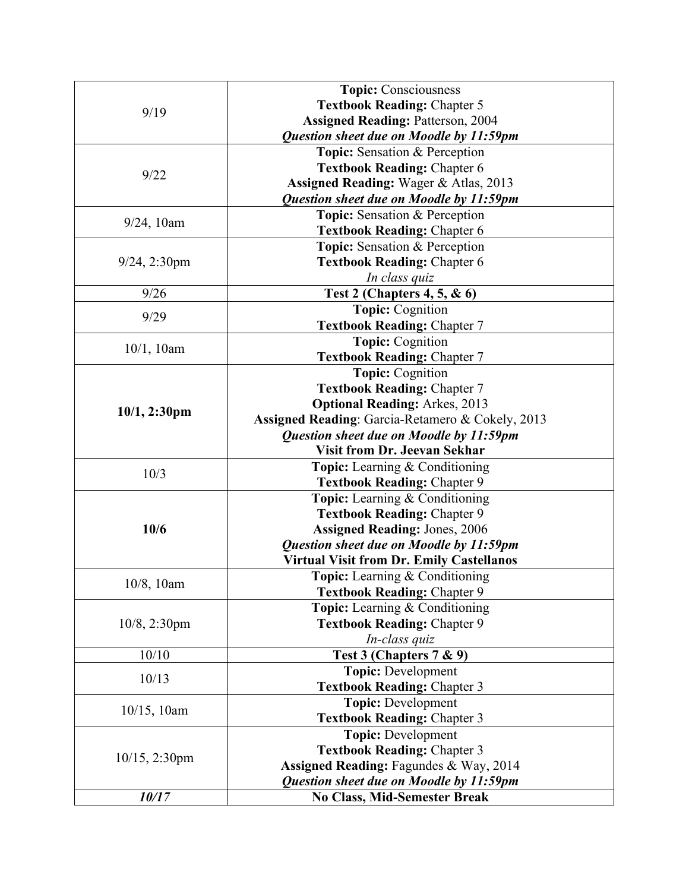| 9/19             | <b>Topic: Consciousness</b>                                                |
|------------------|----------------------------------------------------------------------------|
|                  | <b>Textbook Reading: Chapter 5</b>                                         |
|                  | <b>Assigned Reading: Patterson, 2004</b>                                   |
|                  | Question sheet due on Moodle by 11:59pm                                    |
| 9/22             | Topic: Sensation & Perception                                              |
|                  | <b>Textbook Reading: Chapter 6</b>                                         |
|                  | <b>Assigned Reading: Wager &amp; Atlas, 2013</b>                           |
|                  | Question sheet due on Moodle by 11:59pm                                    |
| $9/24$ , 10am    | Topic: Sensation & Perception                                              |
|                  | <b>Textbook Reading: Chapter 6</b>                                         |
|                  | Topic: Sensation & Perception                                              |
| $9/24$ , 2:30pm  | <b>Textbook Reading: Chapter 6</b>                                         |
|                  | In class quiz                                                              |
| 9/26             | <b>Test 2 (Chapters 4, 5, &amp; 6)</b>                                     |
| 9/29             | <b>Topic: Cognition</b>                                                    |
|                  | <b>Textbook Reading: Chapter 7</b>                                         |
| 10/1, 10am       | <b>Topic: Cognition</b>                                                    |
|                  | <b>Textbook Reading: Chapter 7</b>                                         |
|                  | <b>Topic: Cognition</b>                                                    |
|                  | <b>Textbook Reading: Chapter 7</b><br><b>Optional Reading: Arkes, 2013</b> |
| $10/1, 2:30$ pm  | Assigned Reading: Garcia-Retamero & Cokely, 2013                           |
|                  | Question sheet due on Moodle by 11:59pm                                    |
|                  | <b>Visit from Dr. Jeevan Sekhar</b>                                        |
|                  | <b>Topic:</b> Learning & Conditioning                                      |
| 10/3             | <b>Textbook Reading: Chapter 9</b>                                         |
|                  | <b>Topic:</b> Learning & Conditioning                                      |
|                  | <b>Textbook Reading: Chapter 9</b>                                         |
| 10/6             | <b>Assigned Reading: Jones, 2006</b>                                       |
|                  | Question sheet due on Moodle by 11:59pm                                    |
|                  | <b>Virtual Visit from Dr. Emily Castellanos</b>                            |
|                  | <b>Topic:</b> Learning & Conditioning                                      |
| 10/8, 10am       | <b>Textbook Reading: Chapter 9</b>                                         |
|                  | <b>Topic:</b> Learning & Conditioning                                      |
| 10/8, 2:30pm     | <b>Textbook Reading: Chapter 9</b>                                         |
|                  | In-class quiz                                                              |
| 10/10            | Test 3 (Chapters 7 & 9)                                                    |
| 10/13            | <b>Topic: Development</b>                                                  |
|                  | <b>Textbook Reading: Chapter 3</b>                                         |
| $10/15$ , 10am   | <b>Topic: Development</b>                                                  |
|                  | <b>Textbook Reading: Chapter 3</b>                                         |
| $10/15$ , 2:30pm | <b>Topic: Development</b>                                                  |
|                  | <b>Textbook Reading: Chapter 3</b>                                         |
|                  | Assigned Reading: Fagundes & Way, 2014                                     |
|                  | Question sheet due on Moodle by 11:59pm                                    |
| 10/17            | <b>No Class, Mid-Semester Break</b>                                        |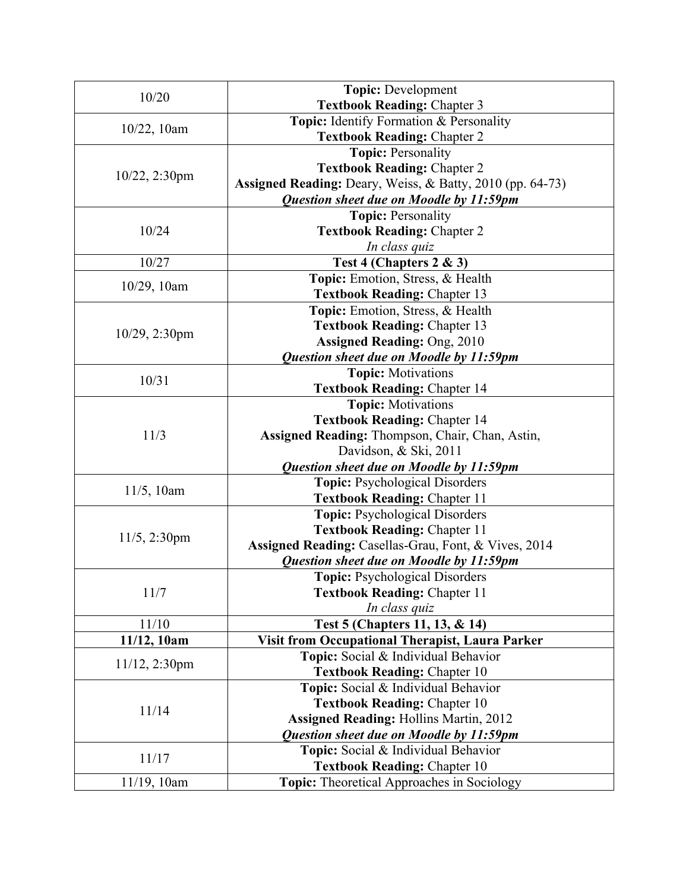| 10/20            | <b>Topic: Development</b>                                 |
|------------------|-----------------------------------------------------------|
|                  | <b>Textbook Reading: Chapter 3</b>                        |
| $10/22$ , 10am   | Topic: Identify Formation & Personality                   |
|                  | <b>Textbook Reading: Chapter 2</b>                        |
|                  | <b>Topic: Personality</b>                                 |
| $10/22$ , 2:30pm | <b>Textbook Reading: Chapter 2</b>                        |
|                  | Assigned Reading: Deary, Weiss, & Batty, 2010 (pp. 64-73) |
|                  | Question sheet due on Moodle by 11:59pm                   |
|                  | <b>Topic: Personality</b>                                 |
| 10/24            | <b>Textbook Reading: Chapter 2</b>                        |
|                  | In class quiz                                             |
| 10/27            | Test 4 (Chapters $2 \& 3$ )                               |
|                  | Topic: Emotion, Stress, & Health                          |
| $10/29$ , 10am   | <b>Textbook Reading: Chapter 13</b>                       |
|                  | Topic: Emotion, Stress, & Health                          |
|                  | <b>Textbook Reading: Chapter 13</b>                       |
| $10/29$ , 2:30pm | <b>Assigned Reading: Ong, 2010</b>                        |
|                  | Question sheet due on Moodle by 11:59pm                   |
|                  | <b>Topic:</b> Motivations                                 |
| 10/31            | <b>Textbook Reading: Chapter 14</b>                       |
|                  | <b>Topic:</b> Motivations                                 |
|                  | <b>Textbook Reading: Chapter 14</b>                       |
| 11/3             | Assigned Reading: Thompson, Chair, Chan, Astin,           |
|                  | Davidson, & Ski, 2011                                     |
|                  | Question sheet due on Moodle by 11:59pm                   |
|                  | Topic: Psychological Disorders                            |
| $11/5$ , 10am    | <b>Textbook Reading: Chapter 11</b>                       |
|                  | <b>Topic:</b> Psychological Disorders                     |
|                  | <b>Textbook Reading: Chapter 11</b>                       |
| $11/5$ , 2:30pm  | Assigned Reading: Casellas-Grau, Font, & Vives, 2014      |
|                  | Question sheet due on Moodle by 11:59pm                   |
|                  | Topic: Psychological Disorders                            |
| 11/7             | <b>Textbook Reading: Chapter 11</b>                       |
|                  | In class quiz                                             |
| 11/10            | Test 5 (Chapters 11, 13, & 14)                            |
| 11/12, 10am      | <b>Visit from Occupational Therapist, Laura Parker</b>    |
|                  | Topic: Social & Individual Behavior                       |
| $11/12$ , 2:30pm | <b>Textbook Reading: Chapter 10</b>                       |
| 11/14            | Topic: Social & Individual Behavior                       |
|                  | <b>Textbook Reading: Chapter 10</b>                       |
|                  | <b>Assigned Reading: Hollins Martin, 2012</b>             |
|                  | Question sheet due on Moodle by 11:59pm                   |
|                  | Topic: Social & Individual Behavior                       |
| 11/17            | <b>Textbook Reading: Chapter 10</b>                       |
| 11/19, 10am      | Topic: Theoretical Approaches in Sociology                |
|                  |                                                           |